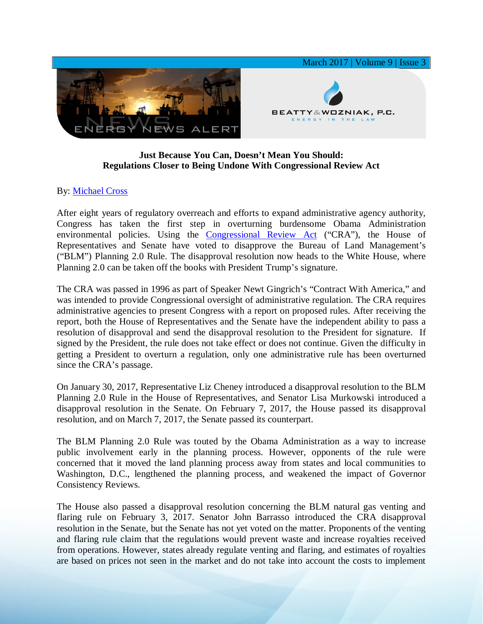

## **Just Because You Can, Doesn't Mean You Should: Regulations Closer to Being Undone With Congressional Review Act**

## By: [Michael Cross](https://www.bwenergylaw.com/michael-cross)

After eight years of regulatory overreach and efforts to expand administrative agency authority, Congress has taken the first step in overturning burdensome Obama Administration environmental policies. Using the [Congressional Review Act](https://www.law.cornell.edu/uscode/text/5/part-I/chapter-8) ("CRA"), the House of Representatives and Senate have voted to disapprove the Bureau of Land Management's ("BLM") Planning 2.0 Rule. The disapproval resolution now heads to the White House, where Planning 2.0 can be taken off the books with President Trump's signature.

The CRA was passed in 1996 as part of Speaker Newt Gingrich's "Contract With America," and was intended to provide Congressional oversight of administrative regulation. The CRA requires administrative agencies to present Congress with a report on proposed rules. After receiving the report, both the House of Representatives and the Senate have the independent ability to pass a resolution of disapproval and send the disapproval resolution to the President for signature. If signed by the President, the rule does not take effect or does not continue. Given the difficulty in getting a President to overturn a regulation, only one administrative rule has been overturned since the CRA's passage.

On January 30, 2017, Representative Liz Cheney introduced a disapproval resolution to the BLM Planning 2.0 Rule in the House of Representatives, and Senator Lisa Murkowski introduced a disapproval resolution in the Senate. On February 7, 2017, the House passed its disapproval resolution, and on March 7, 2017, the Senate passed its counterpart.

The BLM Planning 2.0 Rule was touted by the Obama Administration as a way to increase public involvement early in the planning process. However, opponents of the rule were concerned that it moved the land planning process away from states and local communities to Washington, D.C., lengthened the planning process, and weakened the impact of Governor Consistency Reviews.

The House also passed a disapproval resolution concerning the BLM natural gas venting and flaring rule on February 3, 2017. Senator John Barrasso introduced the CRA disapproval resolution in the Senate, but the Senate has not yet voted on the matter. Proponents of the venting and flaring rule claim that the regulations would prevent waste and increase royalties received from operations. However, states already regulate venting and flaring, and estimates of royalties are based on prices not seen in the market and do not take into account the costs to implement